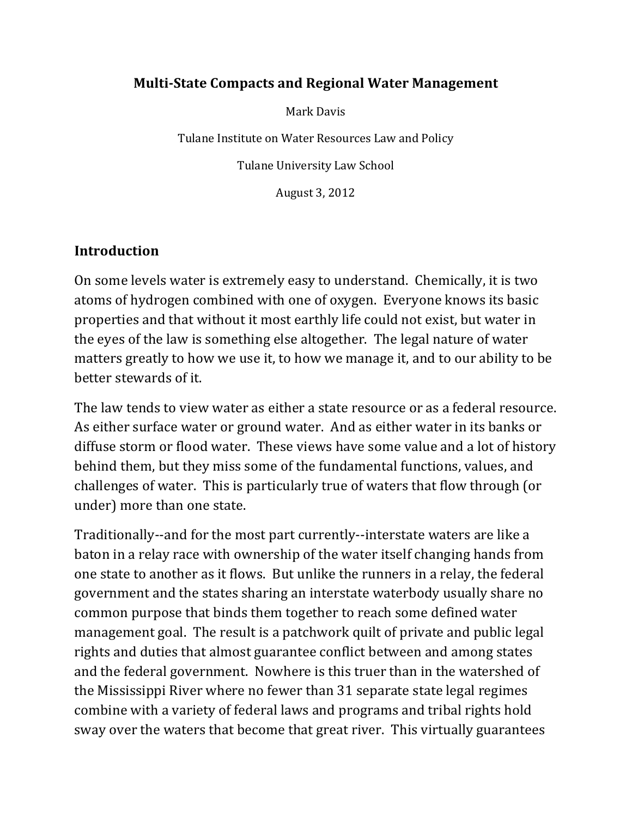#### **Multi-State Compacts and Regional Water Management**

Mark Davis

Tulane Institute on Water Resources Law and Policy

Tulane University Law School

August 3, 2012

#### **Introduction**

On some levels water is extremely easy to understand. Chemically, it is two atoms of hydrogen combined with one of oxygen. Everyone knows its basic properties and that without it most earthly life could not exist, but water in the eyes of the law is something else altogether. The legal nature of water matters greatly to how we use it, to how we manage it, and to our ability to be better stewards of it.

The law tends to view water as either a state resource or as a federal resource. As either surface water or ground water. And as either water in its banks or diffuse storm or flood water. These views have some value and a lot of history behind them, but they miss some of the fundamental functions, values, and challenges of water. This is particularly true of waters that flow through (or under) more than one state.

Traditionally--and for the most part currently--interstate waters are like a baton in a relay race with ownership of the water itself changing hands from one state to another as it flows. But unlike the runners in a relay, the federal government and the states sharing an interstate waterbody usually share no common purpose that binds them together to reach some defined water management goal. The result is a patchwork quilt of private and public legal rights and duties that almost guarantee conflict between and among states and the federal government. Nowhere is this truer than in the watershed of the Mississippi River where no fewer than 31 separate state legal regimes combine with a variety of federal laws and programs and tribal rights hold sway over the waters that become that great river. This virtually guarantees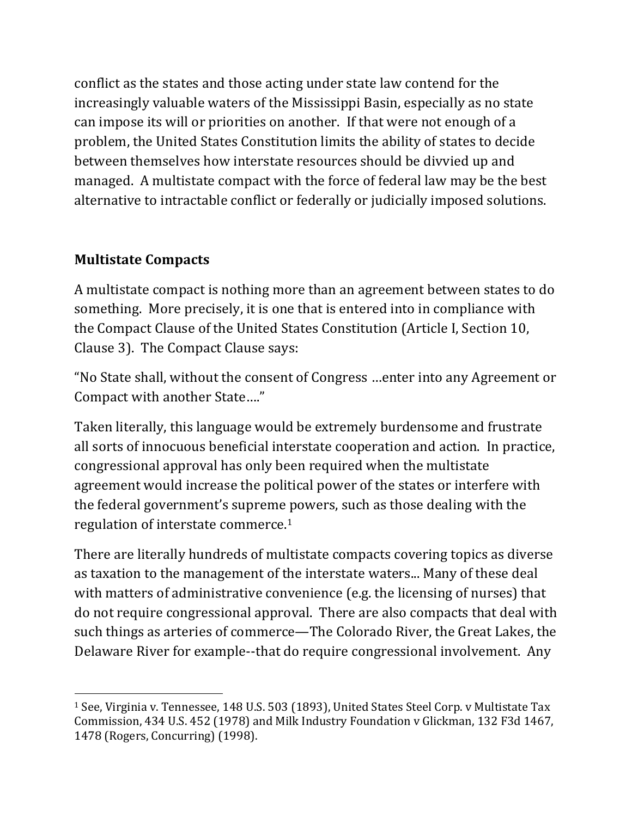conflict as the states and those acting under state law contend for the increasingly valuable waters of the Mississippi Basin, especially as no state can impose its will or priorities on another. If that were not enough of a problem, the United States Constitution limits the ability of states to decide between themselves how interstate resources should be divvied up and managed. A multistate compact with the force of federal law may be the best alternative to intractable conflict or federally or judicially imposed solutions.

# **Multistate Compacts**

!!!!!!!!!!!!!!!!!!!!!!!!!!!!!!!!!!!!!!!!!!!!!!!!!!!!!!!!!!!!

A multistate compact is nothing more than an agreement between states to do something. More precisely, it is one that is entered into in compliance with the Compact Clause of the United States Constitution (Article I, Section 10, Clause 3). The Compact Clause says:

"No State shall, without the consent of Congress ...enter into any Agreement or Compact with another State...."

Taken literally, this language would be extremely burdensome and frustrate all sorts of innocuous beneficial interstate cooperation and action. In practice, congressional approval has only been required when the multistate agreement would increase the political power of the states or interfere with the federal government's supreme powers, such as those dealing with the regulation of interstate commerce.<sup>1</sup>

There are literally hundreds of multistate compacts covering topics as diverse as taxation to the management of the interstate waters... Many of these deal with matters of administrative convenience (e.g. the licensing of nurses) that do not require congressional approval. There are also compacts that deal with such things as arteries of commerce—The Colorado River, the Great Lakes, the Delaware River for example--that do require congressional involvement. Any

<sup>&</sup>lt;sup>1</sup> See, Virginia v. Tennessee, 148 U.S. 503 (1893), United States Steel Corp. v Multistate Tax Commission, 434 U.S. 452 (1978) and Milk Industry Foundation v Glickman, 132 F3d 1467, 1478 (Rogers, Concurring) (1998).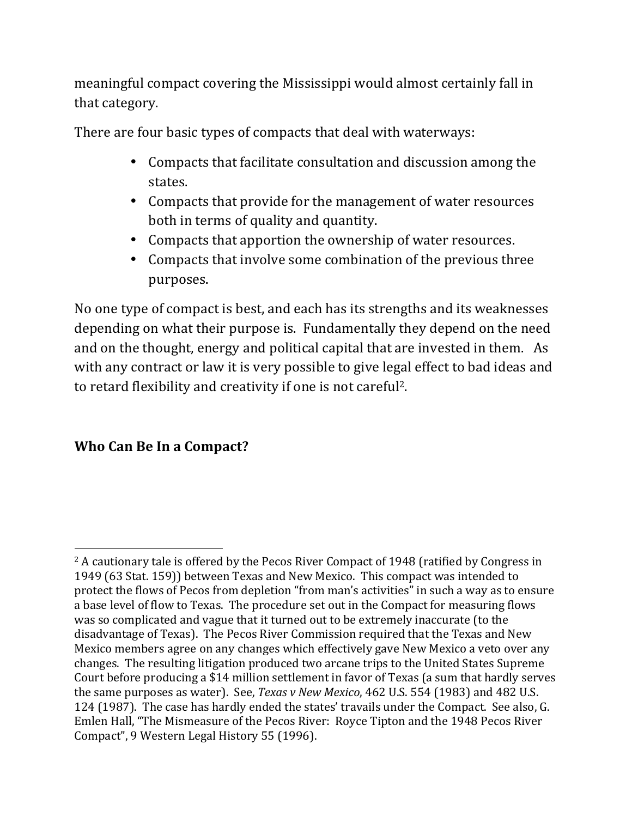meaningful compact covering the Mississippi would almost certainly fall in that category.

There are four basic types of compacts that deal with waterways:

- Compacts that facilitate consultation and discussion among the states.
- Compacts that provide for the management of water resources both in terms of quality and quantity.
- Compacts that apportion the ownership of water resources.
- Compacts that involve some combination of the previous three purposes.

No one type of compact is best, and each has its strengths and its weaknesses depending on what their purpose is. Fundamentally they depend on the need and on the thought, energy and political capital that are invested in them. As with any contract or law it is very possible to give legal effect to bad ideas and to retard flexibility and creativity if one is not careful<sup>2</sup>.

# **Who Can Be In a Compact?**

<sup>!!!!!!!!!!!!!!!!!!!!!!!!!!!!!!!!!!!!!!!!!!!!!!!!!!!!!!!!!!!!</sup>  $2A$  cautionary tale is offered by the Pecos River Compact of 1948 (ratified by Congress in 1949 (63 Stat. 159)) between Texas and New Mexico. This compact was intended to protect the flows of Pecos from depletion "from man's activities" in such a way as to ensure a base level of flow to Texas. The procedure set out in the Compact for measuring flows was so complicated and vague that it turned out to be extremely inaccurate (to the disadvantage of Texas). The Pecos River Commission required that the Texas and New Mexico members agree on any changes which effectively gave New Mexico a veto over any changes. The resulting litigation produced two arcane trips to the United States Supreme Court before producing a \$14 million settlement in favor of Texas (a sum that hardly serves the same purposes as water). See, *Texas v New Mexico*, 462 U.S. 554 (1983) and 482 U.S. 124 (1987). The case has hardly ended the states' travails under the Compact. See also, G. Emlen Hall, "The Mismeasure of the Pecos River: Royce Tipton and the 1948 Pecos River Compact", 9 Western Legal History 55 (1996).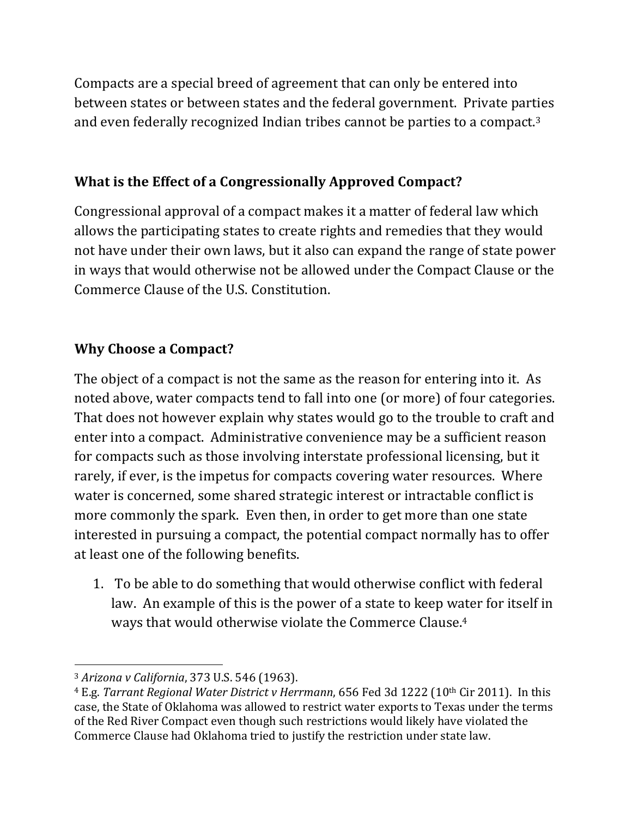Compacts are a special breed of agreement that can only be entered into between states or between states and the federal government. Private parties and even federally recognized Indian tribes cannot be parties to a compact.<sup>3</sup>

### **What is the Effect of a Congressionally Approved Compact?**

Congressional approval of a compact makes it a matter of federal law which allows the participating states to create rights and remedies that they would not have under their own laws, but it also can expand the range of state power in ways that would otherwise not be allowed under the Compact Clause or the Commerce Clause of the U.S. Constitution.

# **Why Choose a Compact?**

The object of a compact is not the same as the reason for entering into it. As noted above, water compacts tend to fall into one (or more) of four categories. That does not however explain why states would go to the trouble to craft and enter into a compact. Administrative convenience may be a sufficient reason for compacts such as those involving interstate professional licensing, but it rarely, if ever, is the impetus for compacts covering water resources. Where water is concerned, some shared strategic interest or intractable conflict is more commonly the spark. Even then, in order to get more than one state interested in pursuing a compact, the potential compact normally has to offer at least one of the following benefits.

1. To be able to do something that would otherwise conflict with federal law. An example of this is the power of a state to keep water for itself in ways that would otherwise violate the Commerce Clause.<sup>4</sup>

<sup>&</sup>lt;sup>3</sup> Arizona v California, 373 U.S. 546 (1963).

<sup>&</sup>lt;sup>4</sup> E.g. Tarrant Regional Water District v Herrmann, 656 Fed 3d 1222 (10<sup>th</sup> Cir 2011). In this case, the State of Oklahoma was allowed to restrict water exports to Texas under the terms of the Red River Compact even though such restrictions would likely have violated the Commerce Clause had Oklahoma tried to justify the restriction under state law.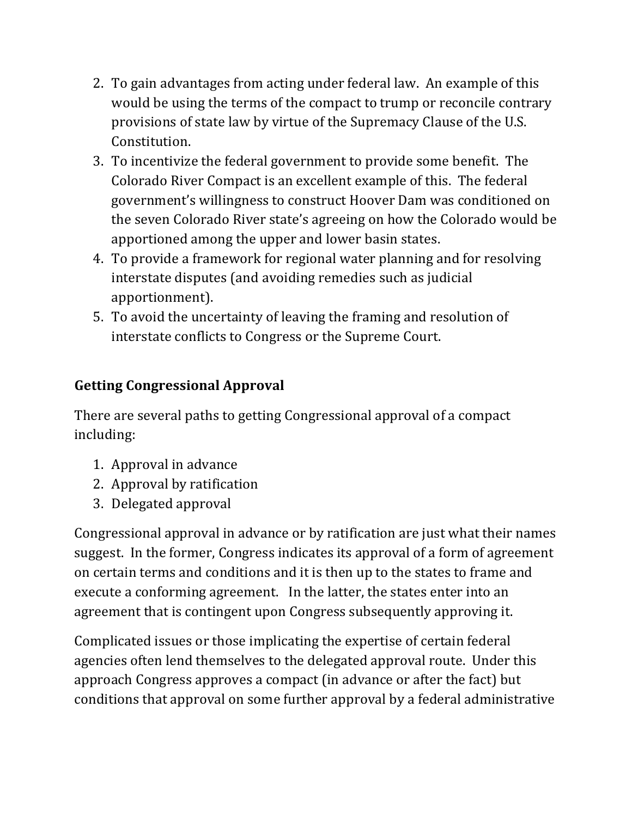- 2. To gain advantages from acting under federal law. An example of this would be using the terms of the compact to trump or reconcile contrary provisions of state law by virtue of the Supremacy Clause of the U.S. Constitution.
- 3. To incentivize the federal government to provide some benefit. The Colorado River Compact is an excellent example of this. The federal government's willingness to construct Hoover Dam was conditioned on the seven Colorado River state's agreeing on how the Colorado would be apportioned among the upper and lower basin states.
- 4. To provide a framework for regional water planning and for resolving interstate disputes (and avoiding remedies such as judicial apportionment).
- 5. To avoid the uncertainty of leaving the framing and resolution of interstate conflicts to Congress or the Supreme Court.

# **Getting Congressional Approval**

There are several paths to getting Congressional approval of a compact including:

- 1. Approval in advance
- 2. Approval by ratification
- 3. Delegated approval

Congressional approval in advance or by ratification are just what their names suggest. In the former, Congress indicates its approval of a form of agreement on certain terms and conditions and it is then up to the states to frame and execute a conforming agreement. In the latter, the states enter into an agreement that is contingent upon Congress subsequently approving it.

Complicated issues or those implicating the expertise of certain federal agencies often lend themselves to the delegated approval route. Under this approach Congress approves a compact (in advance or after the fact) but conditions that approval on some further approval by a federal administrative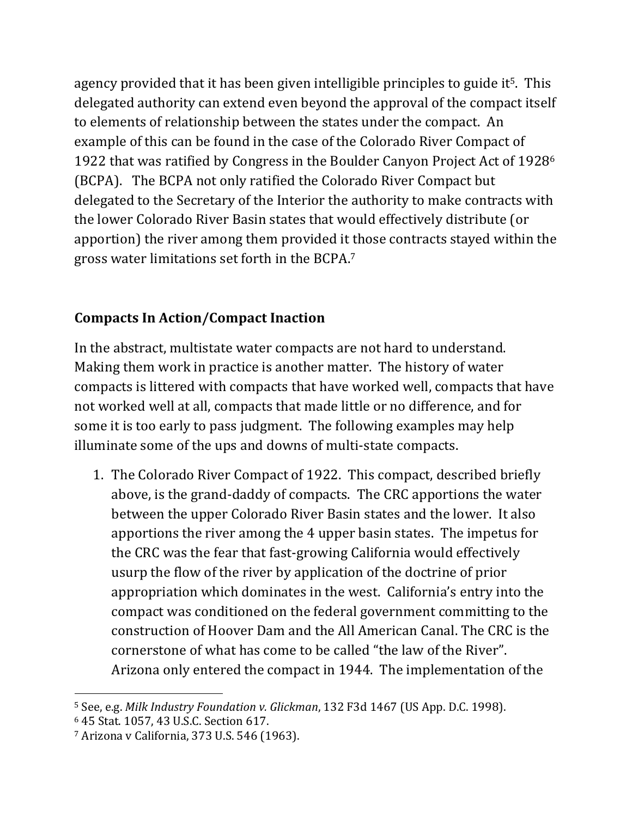agency provided that it has been given intelligible principles to guide it<sup>5</sup>. This delegated authority can extend even beyond the approval of the compact itself to elements of relationship between the states under the compact. An example of this can be found in the case of the Colorado River Compact of 1922 that was ratified by Congress in the Boulder Canyon Project Act of 1928 $^6$ (BCPA). The BCPA not only ratified the Colorado River Compact but delegated to the Secretary of the Interior the authority to make contracts with the lower Colorado River Basin states that would effectively distribute (or apportion) the river among them provided it those contracts stayed within the gross water limitations set forth in the BCPA.<sup>7</sup>

### **Compacts In Action/Compact Inaction**

In the abstract, multistate water compacts are not hard to understand. Making them work in practice is another matter. The history of water compacts is littered with compacts that have worked well, compacts that have not worked well at all, compacts that made little or no difference, and for some it is too early to pass judgment. The following examples may help illuminate some of the ups and downs of multi-state compacts.

1. The Colorado River Compact of 1922. This compact, described briefly above, is the grand-daddy of compacts. The CRC apportions the water between the upper Colorado River Basin states and the lower. It also apportions the river among the 4 upper basin states. The impetus for the CRC was the fear that fast-growing California would effectively usurp the flow of the river by application of the doctrine of prior appropriation which dominates in the west. California's entry into the compact was conditioned on the federal government committing to the construction of Hoover Dam and the All American Canal. The CRC is the cornerstone of what has come to be called "the law of the River". Arizona only entered the compact in 1944. The implementation of the

<sup>&</sup>lt;sup>5</sup> See, e.g. *Milk Industry Foundation v. Glickman*, 132 F3d 1467 (US App. D.C. 1998).

<sup>6 45</sup> Stat. 1057, 43 U.S.C. Section 617.

<sup>&</sup>lt;sup>7</sup> Arizona v California, 373 U.S. 546 (1963).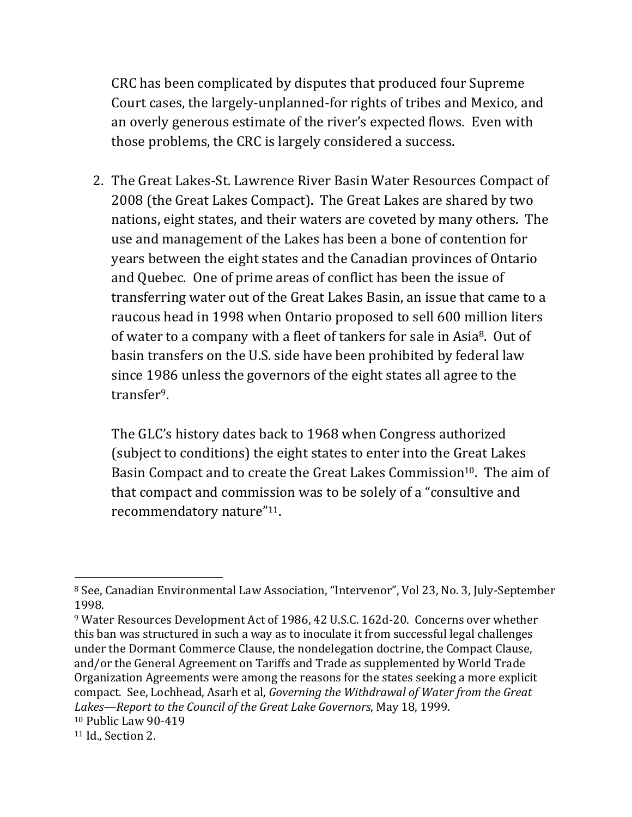CRC has been complicated by disputes that produced four Supreme Court cases, the largely-unplanned-for rights of tribes and Mexico, and an overly generous estimate of the river's expected flows. Even with those problems, the CRC is largely considered a success.

2. The Great Lakes-St. Lawrence River Basin Water Resources Compact of 2008 (the Great Lakes Compact). The Great Lakes are shared by two nations, eight states, and their waters are coveted by many others. The use and management of the Lakes has been a bone of contention for years between the eight states and the Canadian provinces of Ontario and Quebec. One of prime areas of conflict has been the issue of transferring water out of the Great Lakes Basin, an issue that came to a raucous head in 1998 when Ontario proposed to sell 600 million liters of water to a company with a fleet of tankers for sale in Asia<sup>8</sup>. Out of basin transfers on the U.S. side have been prohibited by federal law since 1986 unless the governors of the eight states all agree to the transfer9.

The GLC's history dates back to 1968 when Congress authorized (subject to conditions) the eight states to enter into the Great Lakes Basin Compact and to create the Great Lakes Commission<sup>10</sup>. The aim of that compact and commission was to be solely of a "consultive and recommendatory nature"<sup>11</sup>.

<sup>&</sup>lt;sup>8</sup> See, Canadian Environmental Law Association, "Intervenor", Vol 23, No. 3, July-September 1998.

<sup>&</sup>lt;sup>9</sup> Water Resources Development Act of 1986, 42 U.S.C. 162d-20. Concerns over whether this ban was structured in such a way as to inoculate it from successful legal challenges under the Dormant Commerce Clause, the nondelegation doctrine, the Compact Clause, and/or the General Agreement on Tariffs and Trade as supplemented by World Trade Organization Agreements were among the reasons for the states seeking a more explicit compact. See, Lochhead, Asarh et al, *Governing the Withdrawal of Water from the Great* Lakes—Report to the Council of the Great Lake Governors, May 18, 1999.

 $10$  Public Law 90-419

 $11$  Id., Section 2.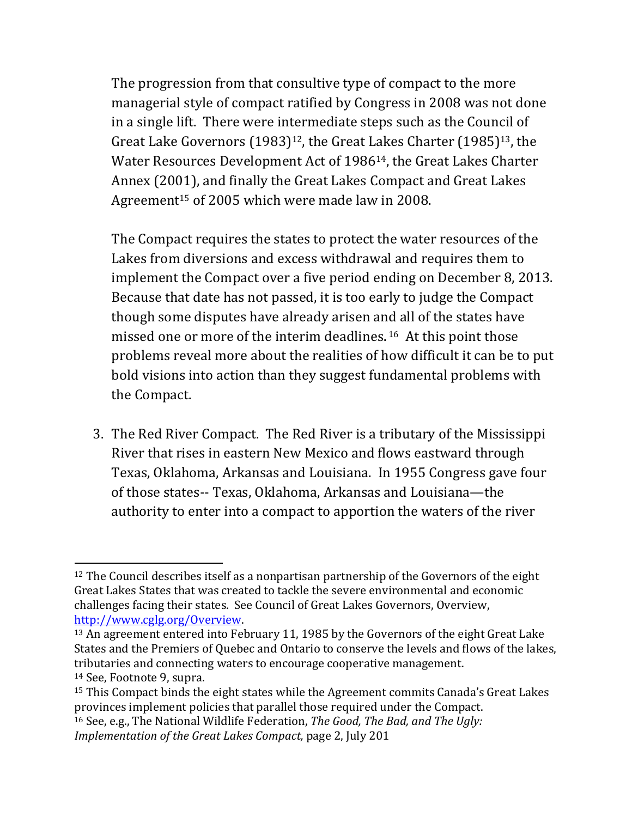The progression from that consultive type of compact to the more managerial style of compact ratified by Congress in 2008 was not done in a single lift. There were intermediate steps such as the Council of Great Lake Governors (1983)<sup>12</sup>, the Great Lakes Charter (1985)<sup>13</sup>, the Water Resources Development Act of 1986<sup>14</sup>, the Great Lakes Charter Annex (2001), and finally the Great Lakes Compact and Great Lakes Agreement<sup>15</sup> of 2005 which were made law in 2008.

The Compact requires the states to protect the water resources of the Lakes from diversions and excess withdrawal and requires them to implement the Compact over a five period ending on December 8, 2013. Because that date has not passed, it is too early to judge the Compact though some disputes have already arisen and all of the states have missed one or more of the interim deadlines.  $16$  At this point those problems reveal more about the realities of how difficult it can be to put bold visions into action than they suggest fundamental problems with the Compact.

3. The Red River Compact. The Red River is a tributary of the Mississippi River that rises in eastern New Mexico and flows eastward through Texas, Oklahoma, Arkansas and Louisiana. In 1955 Congress gave four of those states-- Texas, Oklahoma, Arkansas and Louisiana—the authority to enter into a compact to apportion the waters of the river

 $12$  The Council describes itself as a nonpartisan partnership of the Governors of the eight Great Lakes States that was created to tackle the severe environmental and economic challenges facing their states. See Council of Great Lakes Governors, Overview, http://www.cglg.org/Overview.%

<sup>&</sup>lt;sup>13</sup> An agreement entered into February 11, 1985 by the Governors of the eight Great Lake States and the Premiers of Quebec and Ontario to conserve the levels and flows of the lakes, tributaries and connecting waters to encourage cooperative management. <sup>14</sup> See, Footnote 9, supra.

 $15$  This Compact binds the eight states while the Agreement commits Canada's Great Lakes provinces implement policies that parallel those required under the Compact.

<sup>16%</sup>See,%e.g.,%The%National%Wildlife%Federation,%*The&Good,&The&Bad,&and&The&Ugly:& Implementation of the Great Lakes Compact, page 2, July 201*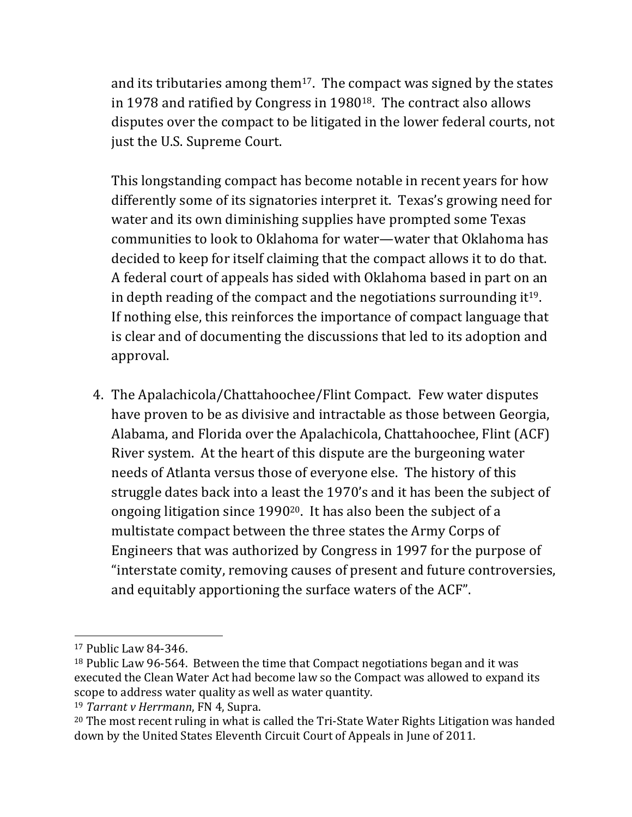and its tributaries among them<sup>17</sup>. The compact was signed by the states in 1978 and ratified by Congress in 1980<sup>18</sup>. The contract also allows disputes over the compact to be litigated in the lower federal courts, not just the U.S. Supreme Court.

This longstanding compact has become notable in recent years for how differently some of its signatories interpret it. Texas's growing need for water and its own diminishing supplies have prompted some Texas communities to look to Oklahoma for water—water that Oklahoma has decided to keep for itself claiming that the compact allows it to do that. A federal court of appeals has sided with Oklahoma based in part on an in depth reading of the compact and the negotiations surrounding it<sup>19</sup>. If nothing else, this reinforces the importance of compact language that is clear and of documenting the discussions that led to its adoption and approval.

4. The Apalachicola/Chattahoochee/Flint Compact. Few water disputes have proven to be as divisive and intractable as those between Georgia, Alabama, and Florida over the Apalachicola, Chattahoochee, Flint (ACF) River system. At the heart of this dispute are the burgeoning water needs of Atlanta versus those of everyone else. The history of this struggle dates back into a least the 1970's and it has been the subject of ongoing litigation since  $1990^{20}$ . It has also been the subject of a multistate compact between the three states the Army Corps of Engineers that was authorized by Congress in 1997 for the purpose of "interstate comity, removing causes of present and future controversies, and equitably apportioning the surface waters of the ACF".

 $17$  Public Law 84-346.

 $18$  Public Law 96-564. Between the time that Compact negotiations began and it was executed the Clean Water Act had become law so the Compact was allowed to expand its scope to address water quality as well as water quantity.

<sup>&</sup>lt;sup>19</sup> *Tarrant v Herrmann*, FN 4, Supra.

<sup>&</sup>lt;sup>20</sup> The most recent ruling in what is called the Tri-State Water Rights Litigation was handed down by the United States Eleventh Circuit Court of Appeals in June of 2011.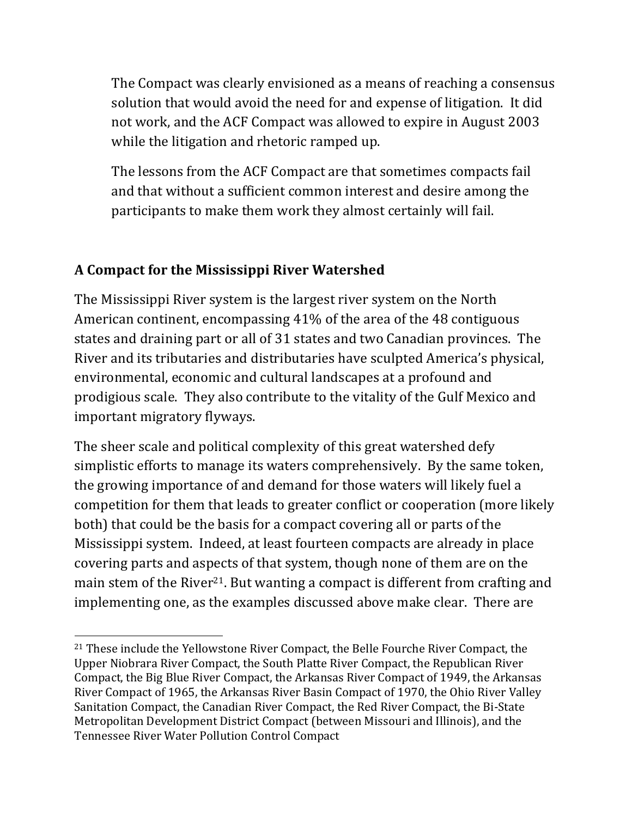The Compact was clearly envisioned as a means of reaching a consensus solution that would avoid the need for and expense of litigation. It did not work, and the ACF Compact was allowed to expire in August 2003 while the litigation and rhetoric ramped up.

The lessons from the ACF Compact are that sometimes compacts fail and that without a sufficient common interest and desire among the participants to make them work they almost certainly will fail.

# **A\*Compact\*for\*the\*Mississippi\*River\*Watershed**%%

The Mississippi River system is the largest river system on the North American continent, encompassing  $41\%$  of the area of the 48 contiguous states and draining part or all of 31 states and two Canadian provinces. The River and its tributaries and distributaries have sculpted America's physical, environmental, economic and cultural landscapes at a profound and prodigious scale. They also contribute to the vitality of the Gulf Mexico and important migratory flyways.

The sheer scale and political complexity of this great watershed defy simplistic efforts to manage its waters comprehensively. By the same token, the growing importance of and demand for those waters will likely fuel a competition for them that leads to greater conflict or cooperation (more likely both) that could be the basis for a compact covering all or parts of the Mississippi system. Indeed, at least fourteen compacts are already in place covering parts and aspects of that system, though none of them are on the main stem of the River<sup>21</sup>. But wanting a compact is different from crafting and implementing one, as the examples discussed above make clear. There are

<sup>!!!!!!!!!!!!!!!!!!!!!!!!!!!!!!!!!!!!!!!!!!!!!!!!!!!!!!!!!!!!</sup>  $21$  These include the Yellowstone River Compact, the Belle Fourche River Compact, the Upper Niobrara River Compact, the South Platte River Compact, the Republican River Compact, the Big Blue River Compact, the Arkansas River Compact of 1949, the Arkansas River Compact of 1965, the Arkansas River Basin Compact of 1970, the Ohio River Valley Sanitation Compact, the Canadian River Compact, the Red River Compact, the Bi-State Metropolitan Development District Compact (between Missouri and Illinois), and the Tennessee River Water Pollution Control Compact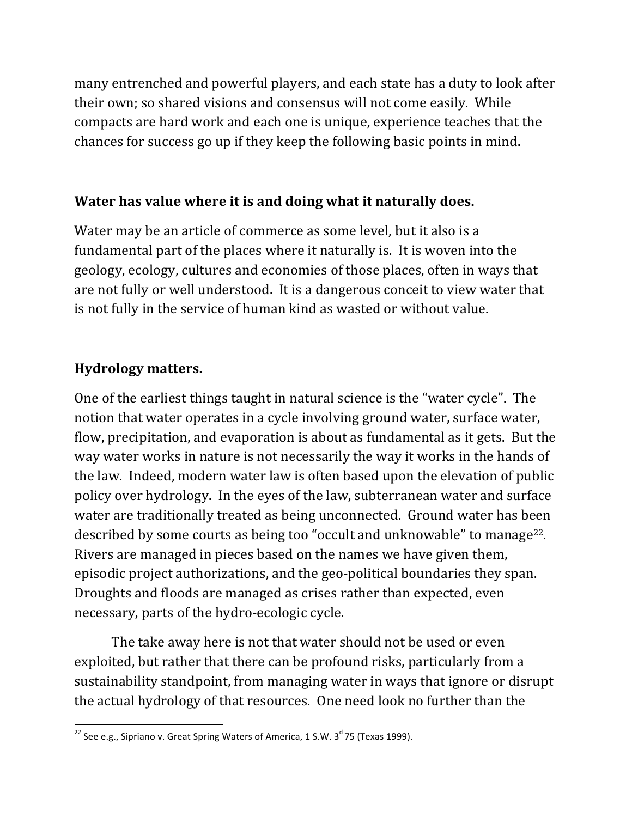many entrenched and powerful players, and each state has a duty to look after their own; so shared visions and consensus will not come easily. While compacts are hard work and each one is unique, experience teaches that the chances for success go up if they keep the following basic points in mind.

### Water has value where it is and doing what it naturally does.

Water may be an article of commerce as some level, but it also is a fundamental part of the places where it naturally is. It is woven into the geology, ecology, cultures and economies of those places, often in ways that are not fully or well understood. It is a dangerous conceit to view water that is not fully in the service of human kind as wasted or without value.

### **Hydrology matters.**

One of the earliest things taught in natural science is the "water cycle". The notion that water operates in a cycle involving ground water, surface water, flow, precipitation, and evaporation is about as fundamental as it gets. But the way water works in nature is not necessarily the way it works in the hands of the law. Indeed, modern water law is often based upon the elevation of public policy over hydrology. In the eyes of the law, subterranean water and surface water are traditionally treated as being unconnected. Ground water has been described by some courts as being too "occult and unknowable" to manage<sup>22</sup>. Rivers are managed in pieces based on the names we have given them, episodic project authorizations, and the geo-political boundaries they span. Droughts and floods are managed as crises rather than expected, even necessary, parts of the hydro-ecologic cycle.

The take away here is not that water should not be used or even exploited, but rather that there can be profound risks, particularly from a sustainability standpoint, from managing water in ways that ignore or disrupt the actual hydrology of that resources. One need look no further than the

<sup>!!!!!!!!!!!!!!!!!!!!!!!!!!!!!!!!!!!!!!!!!!!!!!!!!!!!!!!!!!!!</sup>  $^{22}$  See e.g., Sipriano v. Great Spring Waters of America, 1 S.W. 3<sup>d</sup> 75 (Texas 1999).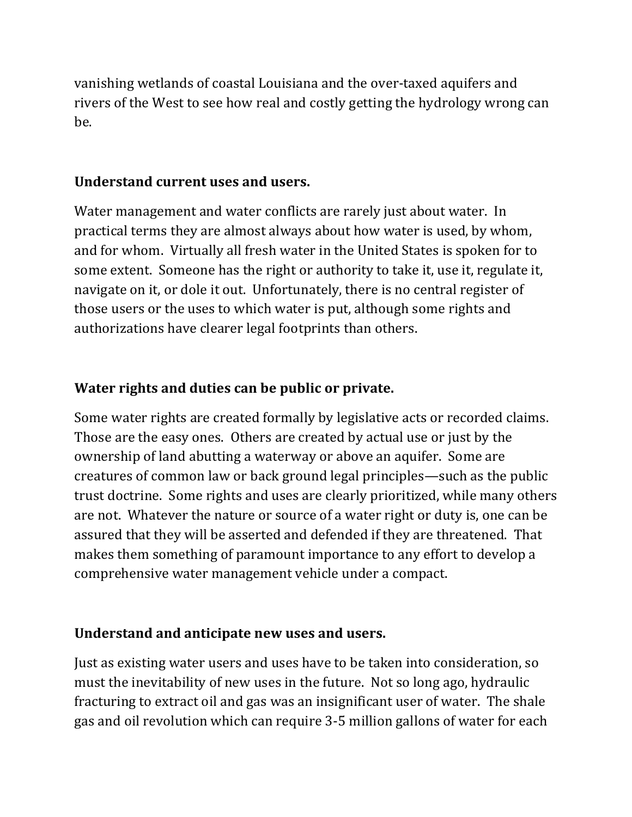vanishing wetlands of coastal Louisiana and the over-taxed aquifers and rivers of the West to see how real and costly getting the hydrology wrong can be.

#### **Understand current uses and users.**

Water management and water conflicts are rarely just about water. In practical terms they are almost always about how water is used, by whom, and for whom. Virtually all fresh water in the United States is spoken for to some extent. Someone has the right or authority to take it, use it, regulate it, navigate on it, or dole it out. Unfortunately, there is no central register of those users or the uses to which water is put, although some rights and authorizations have clearer legal footprints than others.

#### **Water rights and duties can be public or private.**

Some water rights are created formally by legislative acts or recorded claims. Those are the easy ones. Others are created by actual use or just by the ownership of land abutting a waterway or above an aquifer. Some are creatures of common law or back ground legal principles—such as the public trust doctrine. Some rights and uses are clearly prioritized, while many others are not. Whatever the nature or source of a water right or duty is, one can be assured that they will be asserted and defended if they are threatened. That makes them something of paramount importance to any effort to develop a comprehensive water management vehicle under a compact.

#### **Understand and anticipate new uses and users.**

Just as existing water users and uses have to be taken into consideration, so must the inevitability of new uses in the future. Not so long ago, hydraulic fracturing to extract oil and gas was an insignificant user of water. The shale gas and oil revolution which can require 3-5 million gallons of water for each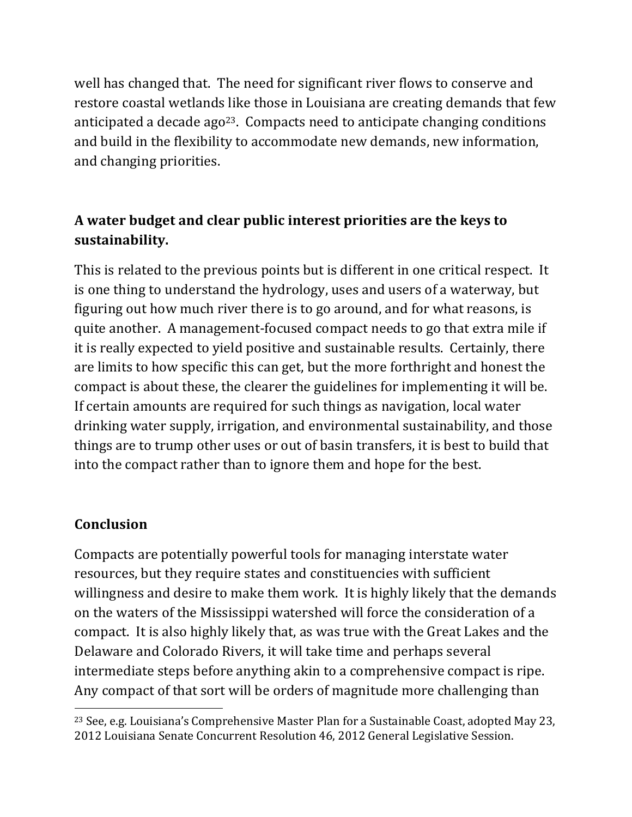well has changed that. The need for significant river flows to conserve and restore coastal wetlands like those in Louisiana are creating demands that few anticipated a decade ago<sup>23</sup>. Compacts need to anticipate changing conditions and build in the flexibility to accommodate new demands, new information, and changing priorities.

# A water budget and clear public interest priorities are the keys to **sustainability.**

This is related to the previous points but is different in one critical respect. It is one thing to understand the hydrology, uses and users of a waterway, but figuring out how much river there is to go around, and for what reasons, is quite another. A management-focused compact needs to go that extra mile if it is really expected to yield positive and sustainable results. Certainly, there are limits to how specific this can get, but the more forthright and honest the compact is about these, the clearer the guidelines for implementing it will be. If certain amounts are required for such things as navigation, local water drinking water supply, irrigation, and environmental sustainability, and those things are to trump other uses or out of basin transfers, it is best to build that into the compact rather than to ignore them and hope for the best.

### **Conclusion**

!!!!!!!!!!!!!!!!!!!!!!!!!!!!!!!!!!!!!!!!!!!!!!!!!!!!!!!!!!!!

Compacts are potentially powerful tools for managing interstate water resources, but they require states and constituencies with sufficient willingness and desire to make them work. It is highly likely that the demands on the waters of the Mississippi watershed will force the consideration of a compact. It is also highly likely that, as was true with the Great Lakes and the Delaware and Colorado Rivers, it will take time and perhaps several intermediate steps before anything akin to a comprehensive compact is ripe. Any compact of that sort will be orders of magnitude more challenging than

<sup>&</sup>lt;sup>23</sup> See, e.g. Louisiana's Comprehensive Master Plan for a Sustainable Coast, adopted May 23, 2012 Louisiana Senate Concurrent Resolution 46, 2012 General Legislative Session.